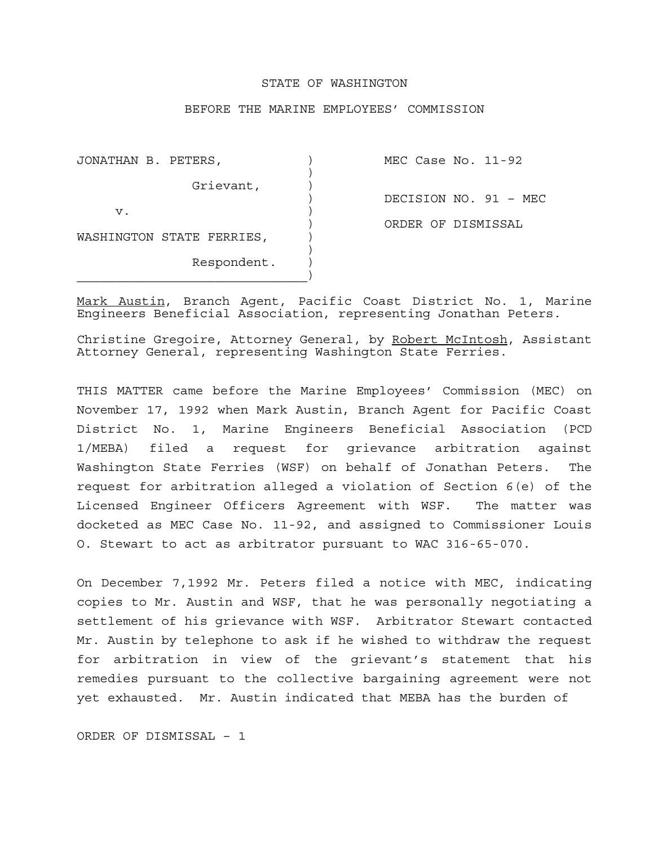## STATE OF WASHINGTON

## BEFORE THE MARINE EMPLOYEES' COMMISSION

| JONATHAN B. PETERS,       | MEC Case No. $11-92$  |
|---------------------------|-----------------------|
| Grievant,                 |                       |
|                           | DECISION NO. 91 - MEC |
| v.                        | ORDER OF DISMISSAL    |
| WASHINGTON STATE FERRIES, |                       |
| Respondent.               |                       |

Mark Austin, Branch Agent, Pacific Coast District No. 1, Marine Engineers Beneficial Association, representing Jonathan Peters.

Christine Gregoire, Attorney General, by Robert McIntosh, Assistant Attorney General, representing Washington State Ferries.

THIS MATTER came before the Marine Employees' Commission (MEC) on November 17, 1992 when Mark Austin, Branch Agent for Pacific Coast District No. 1, Marine Engineers Beneficial Association (PCD 1/MEBA) filed a request for grievance arbitration against Washington State Ferries (WSF) on behalf of Jonathan Peters. The request for arbitration alleged a violation of Section 6(e) of the Licensed Engineer Officers Agreement with WSF. The matter was docketed as MEC Case No. 11-92, and assigned to Commissioner Louis O. Stewart to act as arbitrator pursuant to WAC 316-65-070.

On December 7,1992 Mr. Peters filed a notice with MEC, indicating copies to Mr. Austin and WSF, that he was personally negotiating a settlement of his grievance with WSF. Arbitrator Stewart contacted Mr. Austin by telephone to ask if he wished to withdraw the request for arbitration in view of the grievant's statement that his remedies pursuant to the collective bargaining agreement were not yet exhausted. Mr. Austin indicated that MEBA has the burden of

ORDER OF DISMISSAL – 1